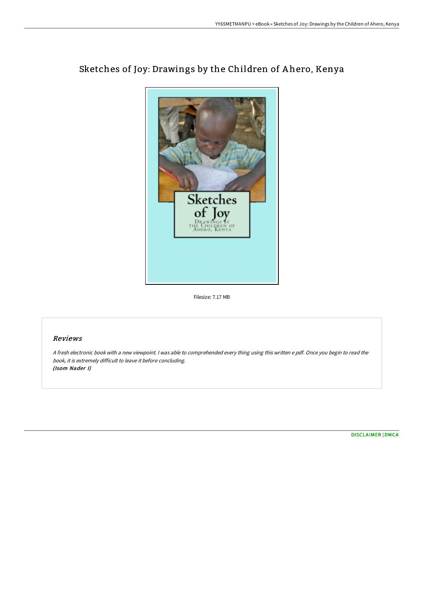

## Sketches of Joy: Drawings by the Children of A hero, Kenya

Filesize: 7.17 MB

## Reviews

<sup>A</sup> fresh electronic book with <sup>a</sup> new viewpoint. <sup>I</sup> was able to comprehended every thing using this written <sup>e</sup> pdf. Once you begin to read the book, it is extremely difficult to leave it before concluding. (Isom Nader I)

[DISCLAIMER](http://www.bookdirs.com/disclaimer.html) | [DMCA](http://www.bookdirs.com/dmca.html)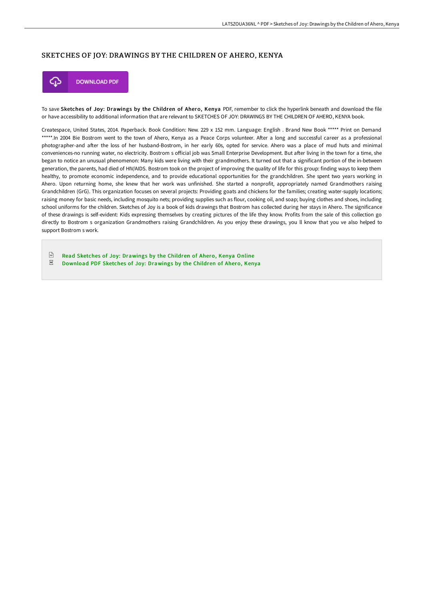## SKETCHES OF JOY: DRAWINGS BY THE CHILDREN OF AHERO, KENYA



To save Sketches of Joy: Drawings by the Children of Ahero, Kenya PDF, remember to click the hyperlink beneath and download the file or have accessibility to additional information that are relevant to SKETCHES OF JOY: DRAWINGS BY THE CHILDREN OF AHERO, KENYA book.

Createspace, United States, 2014. Paperback. Book Condition: New. 229 x 152 mm. Language: English . Brand New Book \*\*\*\*\* Print on Demand \*\*\*\*\*.In 2004 Bie Bostrom went to the town of Ahero, Kenya as a Peace Corps volunteer. After a long and successful career as a professional photographer-and after the loss of her husband-Bostrom, in her early 60s, opted for service. Ahero was a place of mud huts and minimal conveniences-no running water, no electricity. Bostrom s official job was Small Enterprise Development. But after living in the town for a time, she began to notice an unusual phenomenon: Many kids were living with their grandmothers. It turned out that a significant portion of the in-between generation, the parents, had died of HIV/AIDS. Bostrom took on the project of improving the quality of life for this group: finding ways to keep them healthy, to promote economic independence, and to provide educational opportunities for the grandchildren. She spent two years working in Ahero. Upon returning home, she knew that her work was unfinished. She started a nonprofit, appropriately named Grandmothers raising Grandchildren (GrG). This organization focuses on several projects: Providing goats and chickens for the families; creating water-supply locations; raising money for basic needs, including mosquito nets; providing supplies such as flour, cooking oil, and soap; buying clothes and shoes, including school uniforms for the children. Sketches of Joy is a book of kids drawings that Bostrom has collected during her stays in Ahero. The significance of these drawings is self-evident: Kids expressing themselves by creating pictures of the life they know. Profits from the sale of this collection go directly to Bostrom s organization Grandmothers raising Grandchildren. As you enjoy these drawings, you ll know that you ve also helped to support Bostrom s work.

 $\boxed{m}$ Read Sketches of Joy: [Drawings](http://www.bookdirs.com/sketches-of-joy-drawings-by-the-children-of-aher.html) by the Children of Ahero, Kenya Online  $\overline{\rm \bf PDF}$ [Download](http://www.bookdirs.com/sketches-of-joy-drawings-by-the-children-of-aher.html) PDF Sketches of Joy: Drawings by the Children of Ahero, Kenya